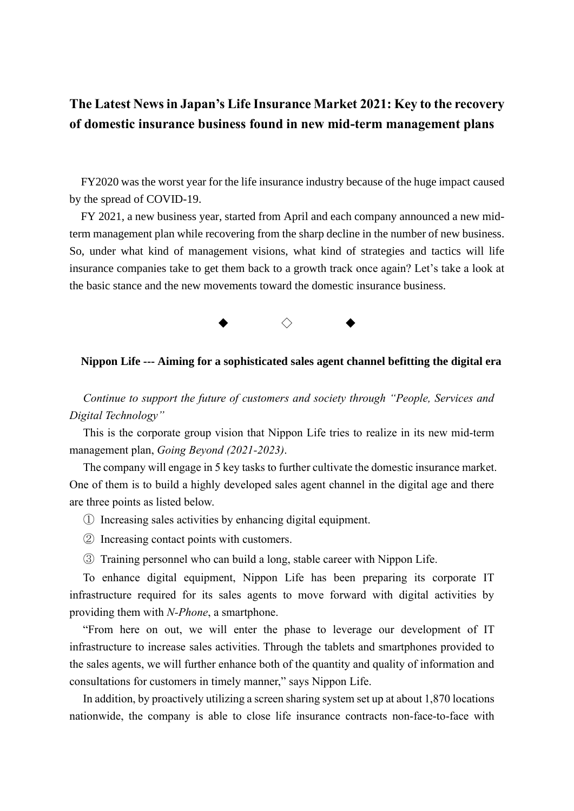# **The Latest News in Japan's Life Insurance Market 2021: Key to the recovery of domestic insurance business found in new mid-term management plans**

FY2020 was the worst year for the life insurance industry because of the huge impact caused by the spread of COVID-19.

FY 2021, a new business year, started from April and each company announced a new midterm management plan while recovering from the sharp decline in the number of new business. So, under what kind of management visions, what kind of strategies and tactics will life insurance companies take to get them back to a growth track once again? Let's take a look at the basic stance and the new movements toward the domestic insurance business.



#### **Nippon Life --- Aiming for a sophisticated sales agent channel befitting the digital era**

*Continue to support the future of customers and society through "People, Services and Digital Technology"*

This is the corporate group vision that Nippon Life tries to realize in its new mid-term management plan, *Going Beyond (2021-2023)*.

The company will engage in 5 key tasks to further cultivate the domestic insurance market. One of them is to build a highly developed sales agent channel in the digital age and there are three points as listed below.

- ① Increasing sales activities by enhancing digital equipment.
- ② Increasing contact points with customers.
- ③ Training personnel who can build a long, stable career with Nippon Life.

To enhance digital equipment, Nippon Life has been preparing its corporate IT infrastructure required for its sales agents to move forward with digital activities by providing them with *N-Phone*, a smartphone.

"From here on out, we will enter the phase to leverage our development of IT infrastructure to increase sales activities. Through the tablets and smartphones provided to the sales agents, we will further enhance both of the quantity and quality of information and consultations for customers in timely manner," says Nippon Life.

In addition, by proactively utilizing a screen sharing system set up at about 1,870 locations nationwide, the company is able to close life insurance contracts non-face-to-face with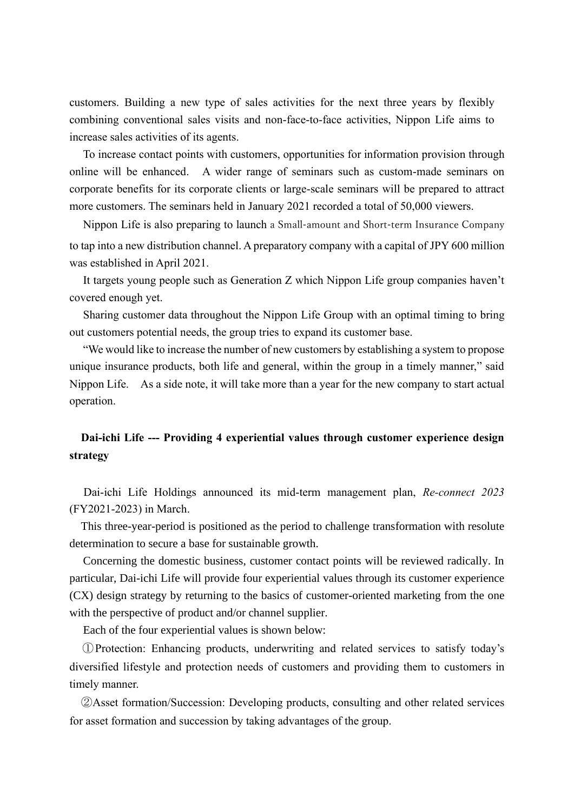customers. Building a new type of sales activities for the next three years by flexibly combining conventional sales visits and non-face-to-face activities, Nippon Life aims to increase sales activities of its agents.

To increase contact points with customers, opportunities for information provision through online will be enhanced. A wider range of seminars such as custom-made seminars on corporate benefits for its corporate clients or large-scale seminars will be prepared to attract more customers. The seminars held in January 2021 recorded a total of 50,000 viewers.

Nippon Life is also preparing to launch a Small-amount and Short-term Insurance Company to tap into a new distribution channel. A preparatory company with a capital of JPY 600 million was established in April 2021.

It targets young people such as Generation Z which Nippon Life group companies haven't covered enough yet.

Sharing customer data throughout the Nippon Life Group with an optimal timing to bring out customers potential needs, the group tries to expand its customer base.

"We would like to increase the number of new customers by establishing a system to propose unique insurance products, both life and general, within the group in a timely manner," said Nippon Life. As a side note, it will take more than a year for the new company to start actual operation.

## **Dai-ichi Life --- Providing 4 experiential values through customer experience design strategy**

Dai-ichi Life Holdings announced its mid-term management plan, *Re-connect 2023* (FY2021-2023) in March.

This three-year-period is positioned as the period to challenge transformation with resolute determination to secure a base for sustainable growth.

Concerning the domestic business, customer contact points will be reviewed radically. In particular, Dai-ichi Life will provide four experiential values through its customer experience (CX) design strategy by returning to the basics of customer-oriented marketing from the one with the perspective of product and/or channel supplier.

Each of the four experiential values is shown below:

①Protection: Enhancing products, underwriting and related services to satisfy today's diversified lifestyle and protection needs of customers and providing them to customers in timely manner.

②Asset formation/Succession: Developing products, consulting and other related services for asset formation and succession by taking advantages of the group.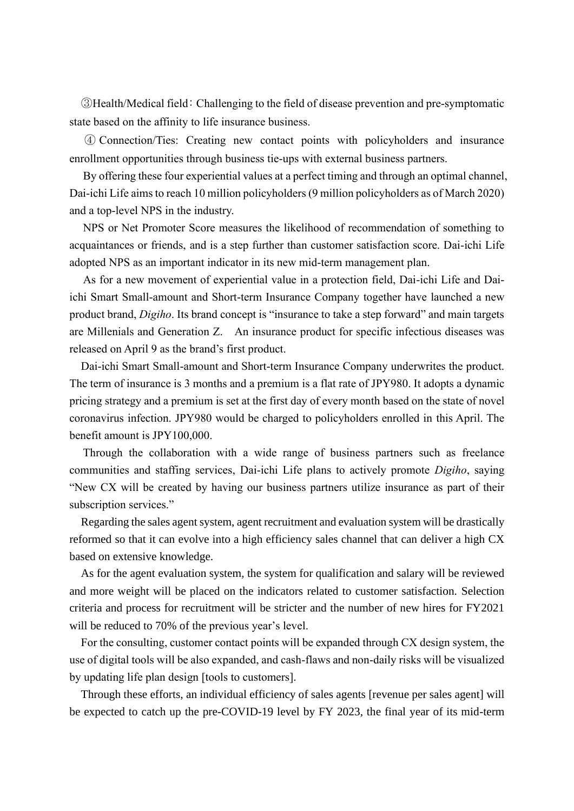③Health/Medical field: Challenging to the field of disease prevention and pre-symptomatic state based on the affinity to life insurance business.

④ Connection/Ties: Creating new contact points with policyholders and insurance enrollment opportunities through business tie-ups with external business partners.

By offering these four experiential values at a perfect timing and through an optimal channel, Dai-ichi Life aims to reach 10 million policyholders (9 million policyholders as of March 2020) and a top-level NPS in the industry.

NPS or Net Promoter Score measures the likelihood of recommendation of something to acquaintances or friends, and is a step further than customer satisfaction score. Dai-ichi Life adopted NPS as an important indicator in its new mid-term management plan.

As for a new movement of experiential value in a protection field, Dai-ichi Life and Daiichi Smart Small-amount and Short-term Insurance Company together have launched a new product brand, *Digiho*. Its brand concept is "insurance to take a step forward" and main targets are Millenials and Generation Z. An insurance product for specific infectious diseases was released on April 9 as the brand's first product.

Dai-ichi Smart Small-amount and Short-term Insurance Company underwrites the product. The term of insurance is 3 months and a premium is a flat rate of JPY980. It adopts a dynamic pricing strategy and a premium is set at the first day of every month based on the state of novel coronavirus infection. JPY980 would be charged to policyholders enrolled in this April. The benefit amount is JPY100,000.

Through the collaboration with a wide range of business partners such as freelance communities and staffing services, Dai-ichi Life plans to actively promote *Digiho*, saying "New CX will be created by having our business partners utilize insurance as part of their subscription services."

Regarding the sales agent system, agent recruitment and evaluation system will be drastically reformed so that it can evolve into a high efficiency sales channel that can deliver a high CX based on extensive knowledge.

As for the agent evaluation system, the system for qualification and salary will be reviewed and more weight will be placed on the indicators related to customer satisfaction. Selection criteria and process for recruitment will be stricter and the number of new hires for FY2021 will be reduced to 70% of the previous year's level.

For the consulting, customer contact points will be expanded through CX design system, the use of digital tools will be also expanded, and cash-flaws and non-daily risks will be visualized by updating life plan design [tools to customers].

Through these efforts, an individual efficiency of sales agents [revenue per sales agent] will be expected to catch up the pre-COVID-19 level by FY 2023, the final year of its mid-term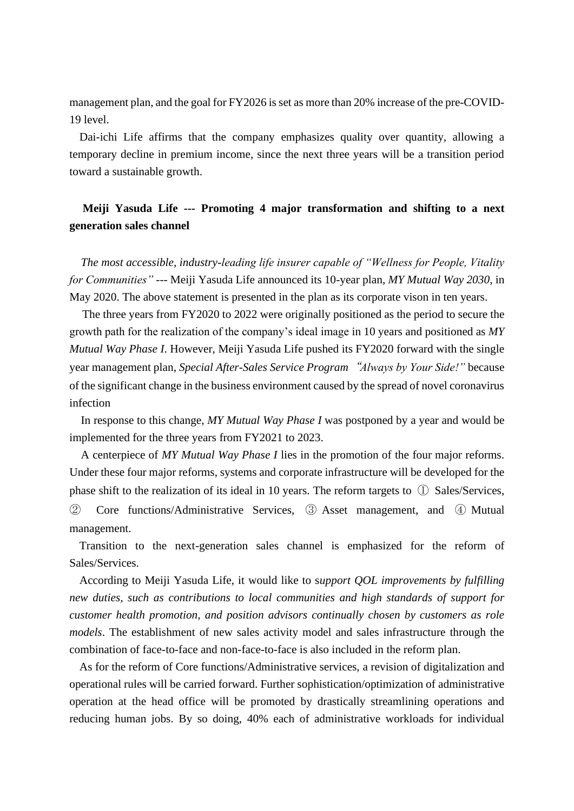management plan, and the goal for FY2026 is set as more than 20% increase of the pre-COVID-19 level.

Dai-ichi Life affirms that the company emphasizes quality over quantity, allowing a temporary decline in premium income, since the next three years will be a transition period toward a sustainable growth.

## **Meiji Yasuda Life --- Promoting 4 major transformation and shifting to a next generation sales channel**

*The most accessible, industry-leading life insurer capable of "Wellness for People, Vitality for Communities"* --- Meiji Yasuda Life announced its 10-year plan, *MY Mutual Way 2030*, in May 2020. The above statement is presented in the plan as its corporate vison in ten years.

The three years from FY2020 to 2022 were originally positioned as the period to secure the growth path for the realization of the company's ideal image in 10 years and positioned as *MY Mutual Way Phase I*. However, Meiji Yasuda Life pushed its FY2020 forward with the single year management plan, *Special After-Sales Service Program*"*Always by Your Side!"* because of the significant change in the business environment caused by the spread of novel coronavirus infection

In response to this change, *MY Mutual Way Phase I* was postponed by a year and would be implemented for the three years from FY2021 to 2023.

A centerpiece of *MY Mutual Way Phase I* lies in the promotion of the four major reforms. Under these four major reforms, systems and corporate infrastructure will be developed for the phase shift to the realization of its ideal in 10 years. The reform targets to ① Sales/Services, ② Core functions/Administrative Services, ③ Asset management, and ④ Mutual management.

Transition to the next-generation sales channel is emphasized for the reform of Sales/Services.

According to Meiji Yasuda Life, it would like to s*upport QOL improvements by fulfilling new duties, such as contributions to local communities and high standards of support for customer health promotion, and position advisors continually chosen by customers as role models*. The establishment of new sales activity model and sales infrastructure through the combination of face-to-face and non-face-to-face is also included in the reform plan.

As for the reform of Core functions/Administrative services, a revision of digitalization and operational rules will be carried forward. Further sophistication/optimization of administrative operation at the head office will be promoted by drastically streamlining operations and reducing human jobs. By so doing, 40% each of administrative workloads for individual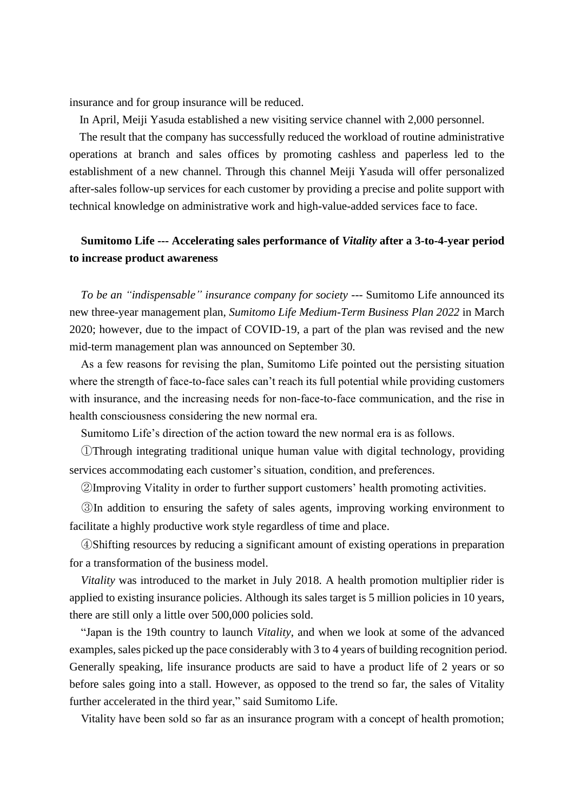insurance and for group insurance will be reduced.

In April, Meiji Yasuda established a new visiting service channel with 2,000 personnel.

The result that the company has successfully reduced the workload of routine administrative operations at branch and sales offices by promoting cashless and paperless led to the establishment of a new channel. Through this channel Meiji Yasuda will offer personalized after-sales follow-up services for each customer by providing a precise and polite support with technical knowledge on administrative work and high-value-added services face to face.

### **Sumitomo Life --- Accelerating sales performance of** *Vitality* **after a 3-to-4-year period to increase product awareness**

*To be an "indispensable" insurance company for society* --- Sumitomo Life announced its new three-year management plan, *Sumitomo Life Medium-Term Business Plan 2022* in March 2020; however, due to the impact of COVID-19, a part of the plan was revised and the new mid-term management plan was announced on September 30.

As a few reasons for revising the plan, Sumitomo Life pointed out the persisting situation where the strength of face-to-face sales can't reach its full potential while providing customers with insurance, and the increasing needs for non-face-to-face communication, and the rise in health consciousness considering the new normal era.

Sumitomo Life's direction of the action toward the new normal era is as follows.

①Through integrating traditional unique human value with digital technology, providing services accommodating each customer's situation, condition, and preferences.

②Improving Vitality in order to further support customers' health promoting activities.

③In addition to ensuring the safety of sales agents, improving working environment to facilitate a highly productive work style regardless of time and place.

④Shifting resources by reducing a significant amount of existing operations in preparation for a transformation of the business model.

*Vitality* was introduced to the market in July 2018. A health promotion multiplier rider is applied to existing insurance policies. Although its sales target is 5 million policies in 10 years, there are still only a little over 500,000 policies sold.

"Japan is the 19th country to launch *Vitality*, and when we look at some of the advanced examples, sales picked up the pace considerably with 3 to 4 years of building recognition period. Generally speaking, life insurance products are said to have a product life of 2 years or so before sales going into a stall. However, as opposed to the trend so far, the sales of Vitality further accelerated in the third year," said Sumitomo Life.

Vitality have been sold so far as an insurance program with a concept of health promotion;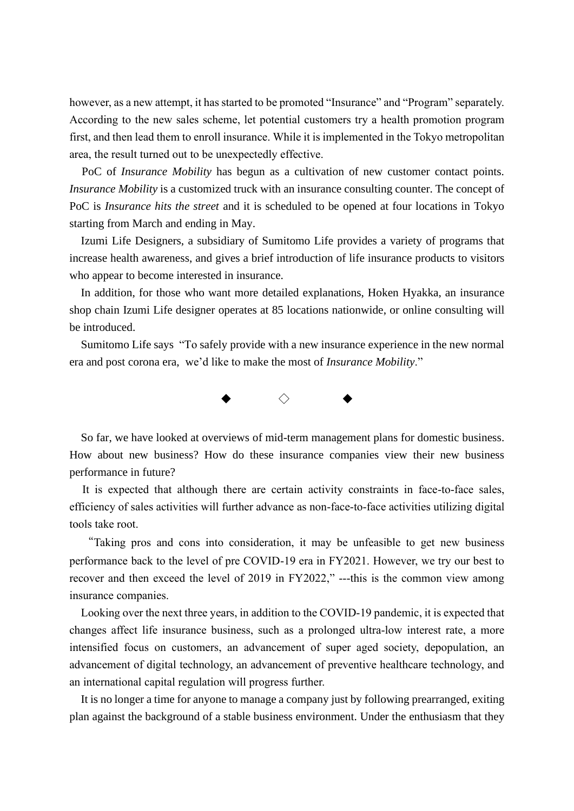however, as a new attempt, it has started to be promoted "Insurance" and "Program" separately. According to the new sales scheme, let potential customers try a health promotion program first, and then lead them to enroll insurance. While it is implemented in the Tokyo metropolitan area, the result turned out to be unexpectedly effective.

PoC of *Insurance Mobility* has begun as a cultivation of new customer contact points. *Insurance Mobility* is a customized truck with an insurance consulting counter. The concept of PoC is *Insurance hits the street* and it is scheduled to be opened at four locations in Tokyo starting from March and ending in May.

Izumi Life Designers, a subsidiary of Sumitomo Life provides a variety of programs that increase health awareness, and gives a brief introduction of life insurance products to visitors who appear to become interested in insurance.

In addition, for those who want more detailed explanations, Hoken Hyakka, an insurance shop chain Izumi Life designer operates at 85 locations nationwide, or online consulting will be introduced.

Sumitomo Life says "To safely provide with a new insurance experience in the new normal era and post corona era, we'd like to make the most of *Insurance Mobility*."



So far, we have looked at overviews of mid-term management plans for domestic business. How about new business? How do these insurance companies view their new business performance in future?

It is expected that although there are certain activity constraints in face-to-face sales, efficiency of sales activities will further advance as non-face-to-face activities utilizing digital tools take root.

"Taking pros and cons into consideration, it may be unfeasible to get new business performance back to the level of pre COVID-19 era in FY2021. However, we try our best to recover and then exceed the level of 2019 in FY2022," ---this is the common view among insurance companies.

Looking over the next three years, in addition to the COVID-19 pandemic, it is expected that changes affect life insurance business, such as a prolonged ultra-low interest rate, a more intensified focus on customers, an advancement of super aged society, depopulation, an advancement of digital technology, an advancement of preventive healthcare technology, and an international capital regulation will progress further.

It is no longer a time for anyone to manage a company just by following prearranged, exiting plan against the background of a stable business environment. Under the enthusiasm that they